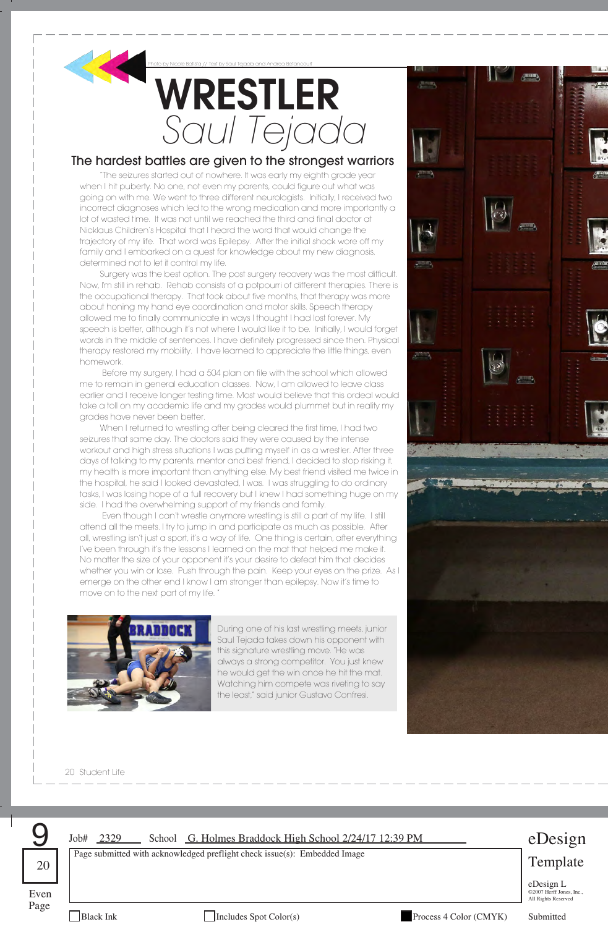

## **WRESTLER** *Saul Tejada* Photo by Nicole Batista // Text by Saul Tejada and Andrea Betancourt

## The hardest battles are given to the strongest warriors

"The seizures started out of nowhere. It was early my eighth grade year when I hit puberty. No one, not even my parents, could figure out what was going on with me. We went to three different neurologists. Initially, I received two incorrect diagnoses which led to the wrong medication and more importantly a lot of wasted time. It was not until we reached the third and final doctor at Nicklaus Children's Hospital that I heard the word that would change the trajectory of my life. That word was Epilepsy. After the initial shock wore off my family and I embarked on a quest for knowledge about my new diagnosis, determined not to let it control my life.

Surgery was the best option. The post surgery recovery was the most difficult. Now, I'm still in rehab. Rehab consists of a potpourri of different therapies. There is the occupational therapy. That took about five months, that therapy was more about honing my hand eye coordination and motor skills. Speech therapy allowed me to finally communicate in ways I thought I had lost forever. My speech is better, although it's not where I would like it to be. Initially, I would forget words in the middle of sentences. I have definitely progressed since then. Physical therapy restored my mobility. I have learned to appreciate the little things, even homework.

Before my surgery, I had a 504 plan on file with the school which allowed me to remain in general education classes. Now, I am allowed to leave class earlier and I receive longer testing time. Most would believe that this ordeal would take a toll on my academic life and my grades would plummet but in reality my grades have never been better.

When I returned to wrestling after being cleared the first time, I had two seizures that same day. The doctors said they were caused by the intense workout and high stress situations I was putting myself in as a wrestler. After three days of talking to my parents, mentor and best friend, I decided to stop risking it, my health is more important than anything else. My best friend visited me twice in the hospital, he said I looked devastated, I was. I was struggling to do ordinary tasks, I was losing hope of a full recovery but I knew I had something huge on my side. I had the overwhelming support of my friends and family.

Even though I can't wrestle anymore wrestling is still a part of my life. I still attend all the meets. I try to jump in and participate as much as possible. After all, wrestling isn't just a sport, it's a way of life. One thing is certain, after everything I've been through it's the lessons I learned on the mat that helped me make it. No matter the size of your opponent it's your desire to defeat him that decides whether you win or lose. Push through the pain. Keep your eyes on the prize. As I emerge on the other end I know I am stronger than epilepsy. Now it's time to move on to the next part of my life. "



During one of his last wrestling meets, junior Saul Tejada takes down his opponent with this signature wrestling move. "He was always a strong competitor. You just knew he would get the win once he hit the mat. Watching him compete was riveting to say the least," said junior Gustavo Confresi.

20 Student Life



Page

Black Ink Includes Spot Color(s) Process 4 Color (CMYK) Submitted